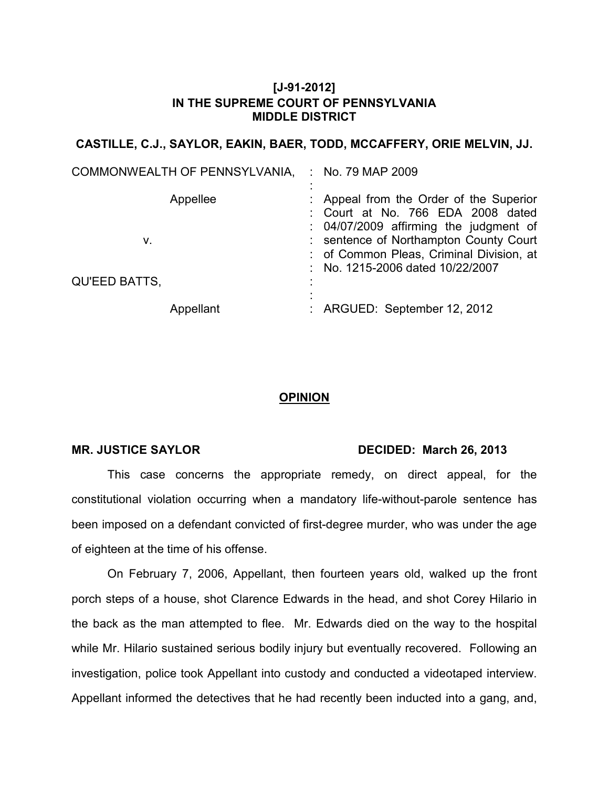## **[J-91-2012] IN THE SUPREME COURT OF PENNSYLVANIA MIDDLE DISTRICT**

### **CASTILLE, C.J., SAYLOR, EAKIN, BAER, TODD, MCCAFFERY, ORIE MELVIN, JJ.**

| COMMONWEALTH OF PENNSYLVANIA, |           | $\therefore$ No. 79 MAP 2009                                                                                                                                                                                                                     |
|-------------------------------|-----------|--------------------------------------------------------------------------------------------------------------------------------------------------------------------------------------------------------------------------------------------------|
| V.                            | Appellee  | : Appeal from the Order of the Superior<br>: Court at No. 766 EDA 2008 dated<br>: 04/07/2009 affirming the judgment of<br>: sentence of Northampton County Court<br>: of Common Pleas, Criminal Division, at<br>: No. 1215-2006 dated 10/22/2007 |
| <b>QU'EED BATTS,</b>          |           |                                                                                                                                                                                                                                                  |
|                               | Appellant | : ARGUED: September 12, 2012                                                                                                                                                                                                                     |

# **OPINION**

#### MR. JUSTICE SAYLOR DECIDED: March 26, 2013

This case concerns the appropriate remedy, on direct appeal, for the constitutional violation occurring when a mandatory life-without-parole sentence has been imposed on a defendant convicted of first-degree murder, who was under the age of eighteen at the time of his offense.

On February 7, 2006, Appellant, then fourteen years old, walked up the front porch steps of a house, shot Clarence Edwards in the head, and shot Corey Hilario in the back as the man attempted to flee. Mr. Edwards died on the way to the hospital while Mr. Hilario sustained serious bodily injury but eventually recovered. Following an investigation, police took Appellant into custody and conducted a videotaped interview. Appellant informed the detectives that he had recently been inducted into a gang, and,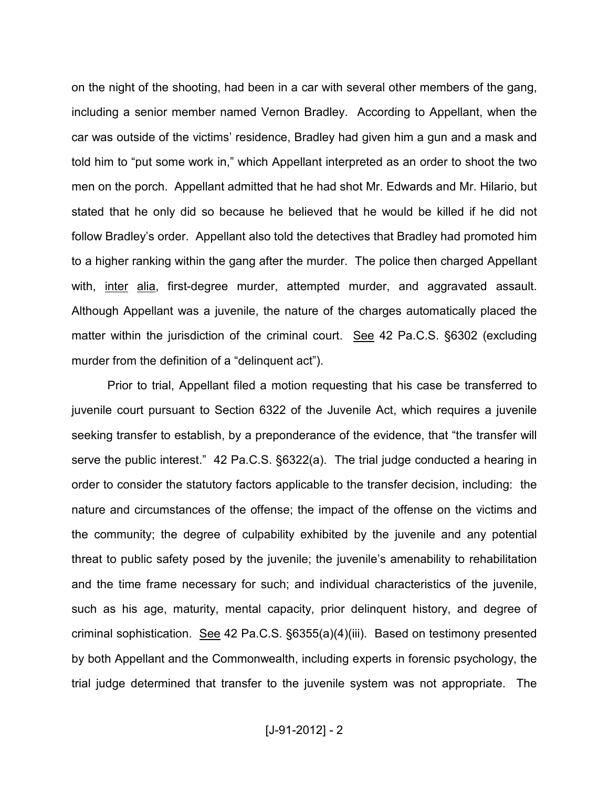on the night of the shooting, had been in a car with several other members of the gang, including a senior member named Vernon Bradley. According to Appellant, when the car was outside of the victims' residence, Bradley had given him a gun and a mask and told him to "put some work in," which Appellant interpreted as an order to shoot the two men on the porch. Appellant admitted that he had shot Mr. Edwards and Mr. Hilario, but stated that he only did so because he believed that he would be killed if he did not follow Bradley's order. Appellant also told the detectives that Bradley had promoted him to a higher ranking within the gang after the murder. The police then charged Appellant with, inter alia, first-degree murder, attempted murder, and aggravated assault. Although Appellant was a juvenile, the nature of the charges automatically placed the matter within the jurisdiction of the criminal court. See 42 Pa.C.S. §6302 (excluding murder from the definition of a "delinquent act").

Prior to trial, Appellant filed a motion requesting that his case be transferred to juvenile court pursuant to Section 6322 of the Juvenile Act, which requires a juvenile seeking transfer to establish, by a preponderance of the evidence, that "the transfer will serve the public interest." 42 Pa.C.S. §6322(a). The trial judge conducted a hearing in order to consider the statutory factors applicable to the transfer decision, including: the nature and circumstances of the offense; the impact of the offense on the victims and the community; the degree of culpability exhibited by the juvenile and any potential threat to public safety posed by the juvenile; the juvenile's amenability to rehabilitation and the time frame necessary for such; and individual characteristics of the juvenile, such as his age, maturity, mental capacity, prior delinquent history, and degree of criminal sophistication. See 42 Pa.C.S. §6355(a)(4)(iii). Based on testimony presented by both Appellant and the Commonwealth, including experts in forensic psychology, the trial judge determined that transfer to the juvenile system was not appropriate. The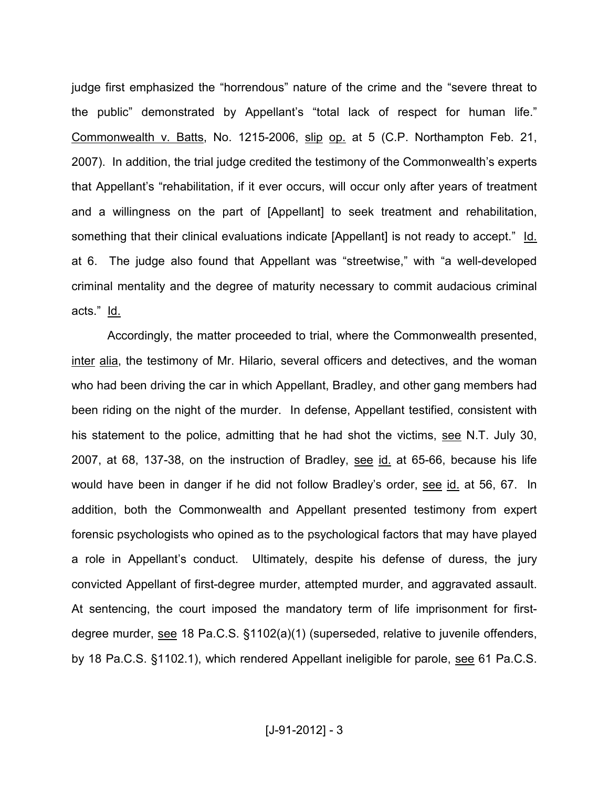judge first emphasized the "horrendous" nature of the crime and the "severe threat to the public" demonstrated by Appellant's "total lack of respect for human life." Commonwealth v. Batts, No. 1215-2006, slip op. at 5 (C.P. Northampton Feb. 21, 2007). In addition, the trial judge credited the testimony of the Commonwealth's experts that Appellant's "rehabilitation, if it ever occurs, will occur only after years of treatment and a willingness on the part of [Appellant] to seek treatment and rehabilitation, something that their clinical evaluations indicate [Appellant] is not ready to accept." Id. at 6. The judge also found that Appellant was "streetwise," with "a well-developed criminal mentality and the degree of maturity necessary to commit audacious criminal acts." Id.

Accordingly, the matter proceeded to trial, where the Commonwealth presented, inter alia, the testimony of Mr. Hilario, several officers and detectives, and the woman who had been driving the car in which Appellant, Bradley, and other gang members had been riding on the night of the murder. In defense, Appellant testified, consistent with his statement to the police, admitting that he had shot the victims, see N.T. July 30, 2007, at 68, 137-38, on the instruction of Bradley, see id. at 65-66, because his life would have been in danger if he did not follow Bradley's order, see id. at 56, 67. In addition, both the Commonwealth and Appellant presented testimony from expert forensic psychologists who opined as to the psychological factors that may have played a role in Appellant's conduct. Ultimately, despite his defense of duress, the jury convicted Appellant of first-degree murder, attempted murder, and aggravated assault. At sentencing, the court imposed the mandatory term of life imprisonment for firstdegree murder, see 18 Pa.C.S. §1102(a)(1) (superseded, relative to juvenile offenders, by 18 Pa.C.S. §1102.1), which rendered Appellant ineligible for parole, see 61 Pa.C.S.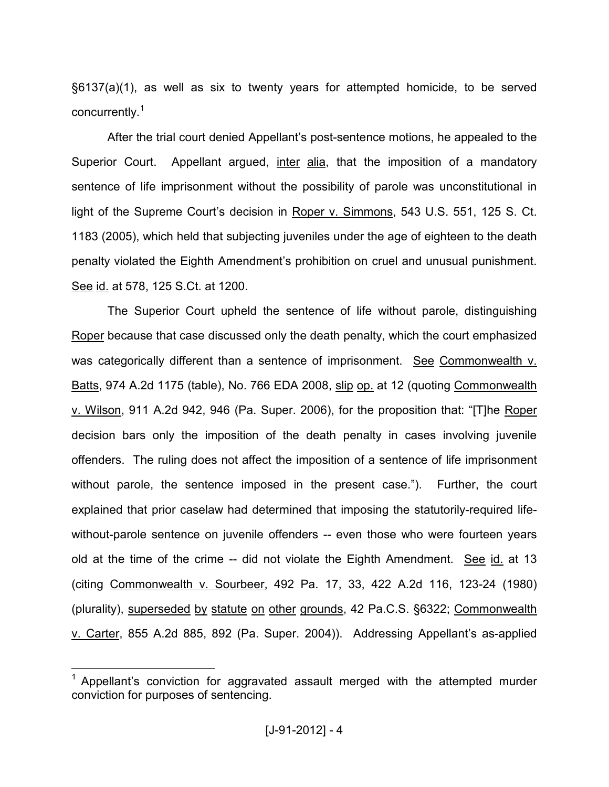§6137(a)(1), as well as six to twenty years for attempted homicide, to be served concurrently.<sup>1</sup>

After the trial court denied Appellant's post-sentence motions, he appealed to the Superior Court. Appellant argued, inter alia, that the imposition of a mandatory sentence of life imprisonment without the possibility of parole was unconstitutional in light of the Supreme Court's decision in Roper v. Simmons, 543 U.S. 551, 125 S. Ct. 1183 (2005), which held that subjecting juveniles under the age of eighteen to the death penalty violated the Eighth Amendment's prohibition on cruel and unusual punishment. See id. at 578, 125 S.Ct. at 1200.

The Superior Court upheld the sentence of life without parole, distinguishing Roper because that case discussed only the death penalty, which the court emphasized was categorically different than a sentence of imprisonment. See Commonwealth v. Batts, 974 A.2d 1175 (table), No. 766 EDA 2008, slip op. at 12 (quoting Commonwealth v. Wilson, 911 A.2d 942, 946 (Pa. Super. 2006), for the proposition that: "[T]he Roper decision bars only the imposition of the death penalty in cases involving juvenile offenders. The ruling does not affect the imposition of a sentence of life imprisonment without parole, the sentence imposed in the present case."). Further, the court explained that prior caselaw had determined that imposing the statutorily-required lifewithout-parole sentence on juvenile offenders -- even those who were fourteen years old at the time of the crime -- did not violate the Eighth Amendment. See id. at 13 (citing Commonwealth v. Sourbeer, 492 Pa. 17, 33, 422 A.2d 116, 123-24 (1980) (plurality), superseded by statute on other grounds, 42 Pa.C.S. §6322; Commonwealth v. Carter, 855 A.2d 885, 892 (Pa. Super. 2004)). Addressing Appellant's as-applied

 $\overline{a}$ 

<sup>1</sup> Appellant's conviction for aggravated assault merged with the attempted murder conviction for purposes of sentencing.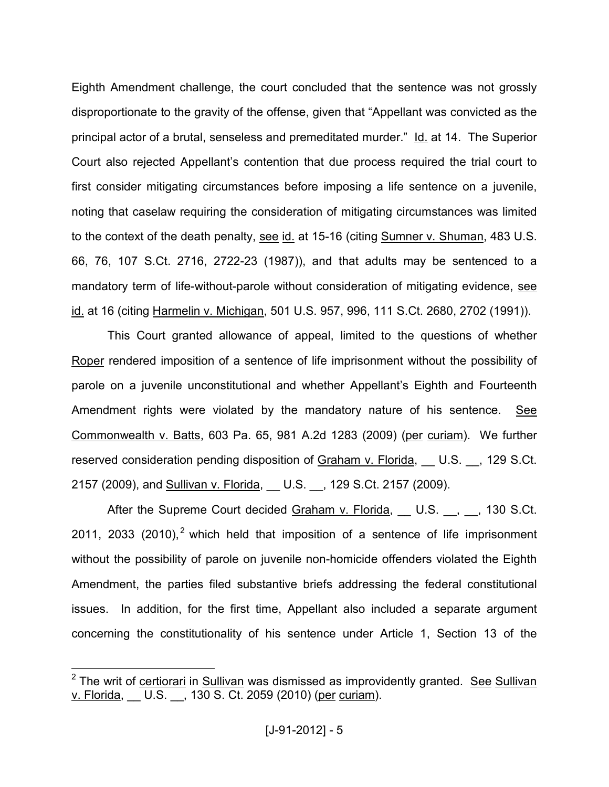Eighth Amendment challenge, the court concluded that the sentence was not grossly disproportionate to the gravity of the offense, given that "Appellant was convicted as the principal actor of a brutal, senseless and premeditated murder." Id. at 14. The Superior Court also rejected Appellant's contention that due process required the trial court to first consider mitigating circumstances before imposing a life sentence on a juvenile, noting that caselaw requiring the consideration of mitigating circumstances was limited to the context of the death penalty, see id. at 15-16 (citing Sumner v. Shuman, 483 U.S. 66, 76, 107 S.Ct. 2716, 2722-23 (1987)), and that adults may be sentenced to a mandatory term of life-without-parole without consideration of mitigating evidence, see id. at 16 (citing Harmelin v. Michigan, 501 U.S. 957, 996, 111 S.Ct. 2680, 2702 (1991)).

This Court granted allowance of appeal, limited to the questions of whether Roper rendered imposition of a sentence of life imprisonment without the possibility of parole on a juvenile unconstitutional and whether Appellant's Eighth and Fourteenth Amendment rights were violated by the mandatory nature of his sentence. See Commonwealth v. Batts, 603 Pa. 65, 981 A.2d 1283 (2009) (per curiam). We further reserved consideration pending disposition of Graham v. Florida, U.S. , 129 S.Ct. 2157 (2009), and Sullivan v. Florida, \_\_ U.S. \_\_, 129 S.Ct. 2157 (2009).

After the Supreme Court decided Graham v. Florida, U.S., , 130 S.Ct. 2011, 2033 (2010),<sup>2</sup> which held that imposition of a sentence of life imprisonment without the possibility of parole on juvenile non-homicide offenders violated the Eighth Amendment, the parties filed substantive briefs addressing the federal constitutional issues. In addition, for the first time, Appellant also included a separate argument concerning the constitutionality of his sentence under Article 1, Section 13 of the

\_\_\_\_\_\_\_\_\_\_\_\_\_\_\_\_\_\_\_\_\_\_\_\_\_\_\_\_\_\_\_\_\_\_<br><sup>2</sup> The writ of <u>certiorari</u> in <u>Sullivan</u> was dismissed as improvidently granted. <u>See</u> Sullivan v. Florida, \_\_ U.S. \_\_, 130 S. Ct. 2059 (2010) (per curiam).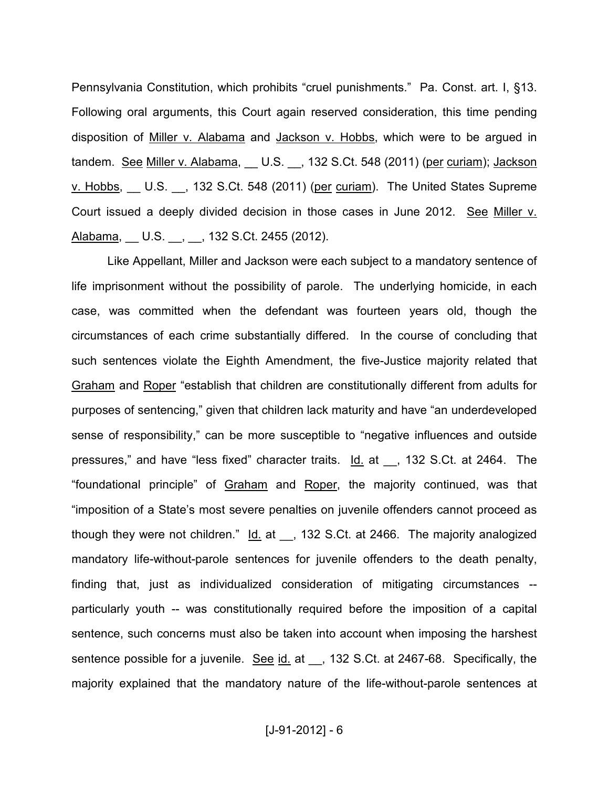Pennsylvania Constitution, which prohibits "cruel punishments." Pa. Const. art. I, §13. Following oral arguments, this Court again reserved consideration, this time pending disposition of Miller v. Alabama and Jackson v. Hobbs, which were to be argued in tandem. See Miller v. Alabama, \_\_ U.S. \_\_, 132 S.Ct. 548 (2011) (per curiam); Jackson v. Hobbs, U.S. , 132 S.Ct. 548 (2011) (per curiam). The United States Supreme Court issued a deeply divided decision in those cases in June 2012. See Miller v. Alabama, \_\_ U.S. \_\_, \_\_, 132 S.Ct. 2455 (2012).

Like Appellant, Miller and Jackson were each subject to a mandatory sentence of life imprisonment without the possibility of parole. The underlying homicide, in each case, was committed when the defendant was fourteen years old, though the circumstances of each crime substantially differed. In the course of concluding that such sentences violate the Eighth Amendment, the five-Justice majority related that Graham and Roper "establish that children are constitutionally different from adults for purposes of sentencing," given that children lack maturity and have "an underdeveloped sense of responsibility," can be more susceptible to "negative influences and outside pressures," and have "less fixed" character traits. Id. at \_\_, 132 S.Ct. at 2464. The "foundational principle" of Graham and Roper, the majority continued, was that "imposition of a State's most severe penalties on juvenile offenders cannot proceed as though they were not children." Id. at \_, 132 S.Ct. at 2466. The majority analogized mandatory life-without-parole sentences for juvenile offenders to the death penalty, finding that, just as individualized consideration of mitigating circumstances - particularly youth -- was constitutionally required before the imposition of a capital sentence, such concerns must also be taken into account when imposing the harshest sentence possible for a juvenile. See id. at \_\_, 132 S.Ct. at 2467-68. Specifically, the majority explained that the mandatory nature of the life-without-parole sentences at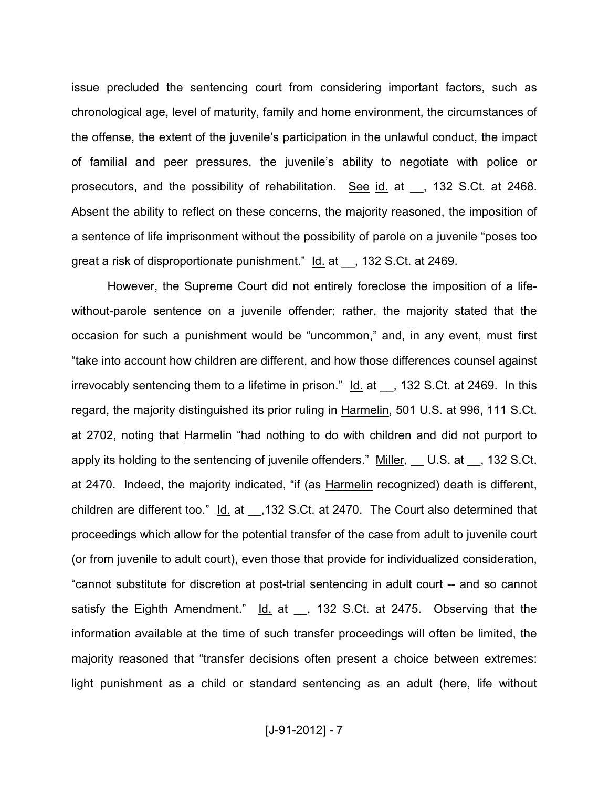issue precluded the sentencing court from considering important factors, such as chronological age, level of maturity, family and home environment, the circumstances of the offense, the extent of the juvenile's participation in the unlawful conduct, the impact of familial and peer pressures, the juvenile's ability to negotiate with police or prosecutors, and the possibility of rehabilitation. See id. at \_\_, 132 S.Ct. at 2468. Absent the ability to reflect on these concerns, the majority reasoned, the imposition of a sentence of life imprisonment without the possibility of parole on a juvenile "poses too great a risk of disproportionate punishment." Id. at \_\_, 132 S.Ct. at 2469.

However, the Supreme Court did not entirely foreclose the imposition of a lifewithout-parole sentence on a juvenile offender; rather, the majority stated that the occasion for such a punishment would be "uncommon," and, in any event, must first "take into account how children are different, and how those differences counsel against irrevocably sentencing them to a lifetime in prison."  $\underline{Id}$  at  $\underline{\hspace{1cm}}$ , 132 S.Ct. at 2469. In this regard, the majority distinguished its prior ruling in Harmelin, 501 U.S. at 996, 111 S.Ct. at 2702, noting that Harmelin "had nothing to do with children and did not purport to apply its holding to the sentencing of juvenile offenders." Miller, U.S. at 132 S.Ct. at 2470. Indeed, the majority indicated, "if (as Harmelin recognized) death is different, children are different too." Id. at \_\_,132 S.Ct. at 2470. The Court also determined that proceedings which allow for the potential transfer of the case from adult to juvenile court (or from juvenile to adult court), even those that provide for individualized consideration, "cannot substitute for discretion at post-trial sentencing in adult court -- and so cannot satisfy the Eighth Amendment." Id. at \_\_, 132 S.Ct. at 2475. Observing that the information available at the time of such transfer proceedings will often be limited, the majority reasoned that "transfer decisions often present a choice between extremes: light punishment as a child or standard sentencing as an adult (here, life without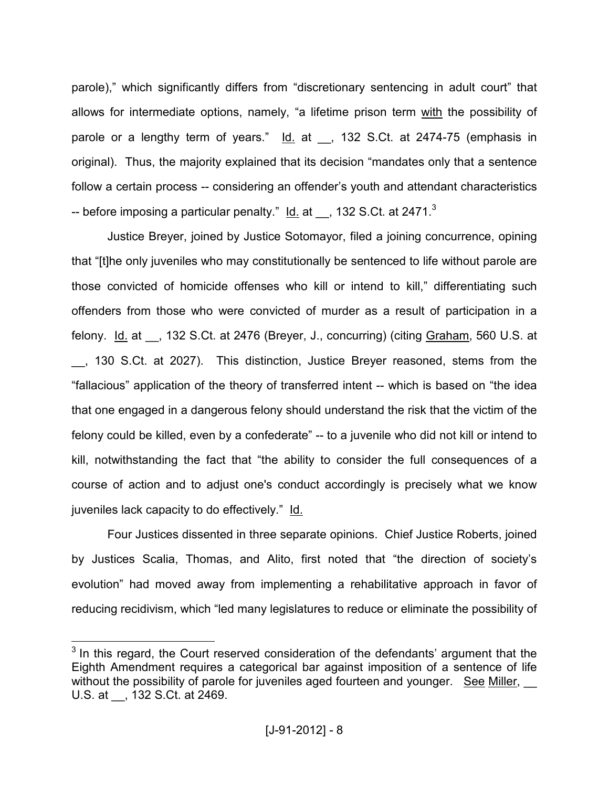parole)," which significantly differs from "discretionary sentencing in adult court" that allows for intermediate options, namely, "a lifetime prison term with the possibility of parole or a lengthy term of years." Id. at \_, 132 S.Ct. at 2474-75 (emphasis in original). Thus, the majority explained that its decision "mandates only that a sentence follow a certain process -- considering an offender's youth and attendant characteristics -- before imposing a particular penalty."  $\underline{\text{Id.}}$  at  $\underline{\hspace{0.1cm}}$ , 132 S.Ct. at 2471. $^3$ 

Justice Breyer, joined by Justice Sotomayor, filed a joining concurrence, opining that "[t]he only juveniles who may constitutionally be sentenced to life without parole are those convicted of homicide offenses who kill or intend to kill," differentiating such offenders from those who were convicted of murder as a result of participation in a felony. Id. at , 132 S.Ct. at 2476 (Breyer, J., concurring) (citing Graham, 560 U.S. at \_\_, 130 S.Ct. at 2027). This distinction, Justice Breyer reasoned, stems from the "fallacious" application of the theory of transferred intent -- which is based on "the idea that one engaged in a dangerous felony should understand the risk that the victim of the felony could be killed, even by a confederate" -- to a juvenile who did not kill or intend to kill, notwithstanding the fact that "the ability to consider the full consequences of a course of action and to adjust one's conduct accordingly is precisely what we know juveniles lack capacity to do effectively." Id.

Four Justices dissented in three separate opinions. Chief Justice Roberts, joined by Justices Scalia, Thomas, and Alito, first noted that "the direction of society's evolution" had moved away from implementing a rehabilitative approach in favor of reducing recidivism, which "led many legislatures to reduce or eliminate the possibility of

**EXECUTE:**<br><sup>3</sup> In this regard, the Court reserved consideration of the defendants' argument that the Eighth Amendment requires a categorical bar against imposition of a sentence of life without the possibility of parole for juveniles aged fourteen and younger. See Miller, U.S. at \_\_, 132 S.Ct. at 2469.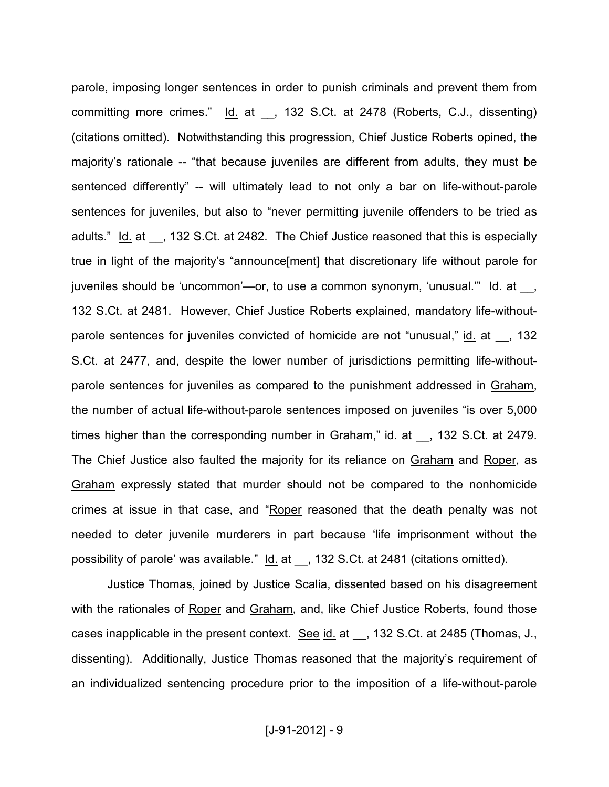parole, imposing longer sentences in order to punish criminals and prevent them from committing more crimes." Id. at , 132 S.Ct. at 2478 (Roberts, C.J., dissenting) (citations omitted). Notwithstanding this progression, Chief Justice Roberts opined, the majority's rationale -- "that because juveniles are different from adults, they must be sentenced differently" -- will ultimately lead to not only a bar on life-without-parole sentences for juveniles, but also to "never permitting juvenile offenders to be tried as adults." Id. at \_\_, 132 S.Ct. at 2482. The Chief Justice reasoned that this is especially true in light of the majority's "announce[ment] that discretionary life without parole for juveniles should be 'uncommon'—or, to use a common synonym, 'unusual.'" Id. at \_\_, 132 S.Ct. at 2481. However, Chief Justice Roberts explained, mandatory life-withoutparole sentences for juveniles convicted of homicide are not "unusual," id. at \_\_, 132 S.Ct. at 2477, and, despite the lower number of jurisdictions permitting life-withoutparole sentences for juveniles as compared to the punishment addressed in Graham, the number of actual life-without-parole sentences imposed on juveniles "is over 5,000 times higher than the corresponding number in Graham," id. at \_\_, 132 S.Ct. at 2479. The Chief Justice also faulted the majority for its reliance on Graham and Roper, as Graham expressly stated that murder should not be compared to the nonhomicide crimes at issue in that case, and "Roper reasoned that the death penalty was not needed to deter juvenile murderers in part because 'life imprisonment without the possibility of parole' was available." Id. at , 132 S.Ct. at 2481 (citations omitted).

Justice Thomas, joined by Justice Scalia, dissented based on his disagreement with the rationales of Roper and Graham, and, like Chief Justice Roberts, found those cases inapplicable in the present context. See id. at ... 132 S.Ct. at 2485 (Thomas, J., dissenting). Additionally, Justice Thomas reasoned that the majority's requirement of an individualized sentencing procedure prior to the imposition of a life-without-parole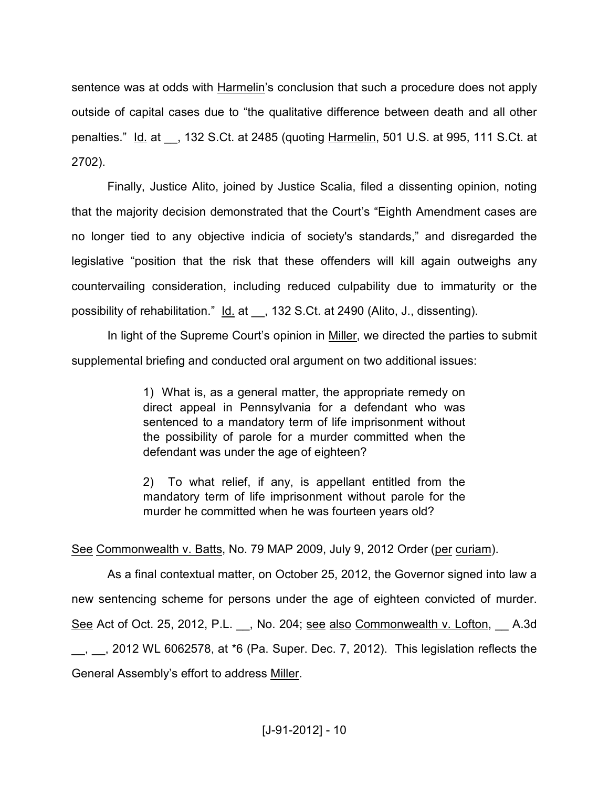sentence was at odds with Harmelin's conclusion that such a procedure does not apply outside of capital cases due to "the qualitative difference between death and all other penalties." Id. at \_\_, 132 S.Ct. at 2485 (quoting Harmelin, 501 U.S. at 995, 111 S.Ct. at 2702).

Finally, Justice Alito, joined by Justice Scalia, filed a dissenting opinion, noting that the majority decision demonstrated that the Court's "Eighth Amendment cases are no longer tied to any objective indicia of society's standards," and disregarded the legislative "position that the risk that these offenders will kill again outweighs any countervailing consideration, including reduced culpability due to immaturity or the possibility of rehabilitation." Id. at \_\_, 132 S.Ct. at 2490 (Alito, J., dissenting).

In light of the Supreme Court's opinion in Miller, we directed the parties to submit supplemental briefing and conducted oral argument on two additional issues:

> 1) What is, as a general matter, the appropriate remedy on direct appeal in Pennsylvania for a defendant who was sentenced to a mandatory term of life imprisonment without the possibility of parole for a murder committed when the defendant was under the age of eighteen?

> 2) To what relief, if any, is appellant entitled from the mandatory term of life imprisonment without parole for the murder he committed when he was fourteen years old?

See Commonwealth v. Batts, No. 79 MAP 2009, July 9, 2012 Order (per curiam).

As a final contextual matter, on October 25, 2012, the Governor signed into law a new sentencing scheme for persons under the age of eighteen convicted of murder. See Act of Oct. 25, 2012, P.L. \_\_, No. 204; see also Commonwealth v. Lofton, \_\_ A.3d  $\,$ ,  $\,$ , 2012 WL 6062578, at  $*6$  (Pa. Super. Dec. 7, 2012). This legislation reflects the General Assembly's effort to address Miller.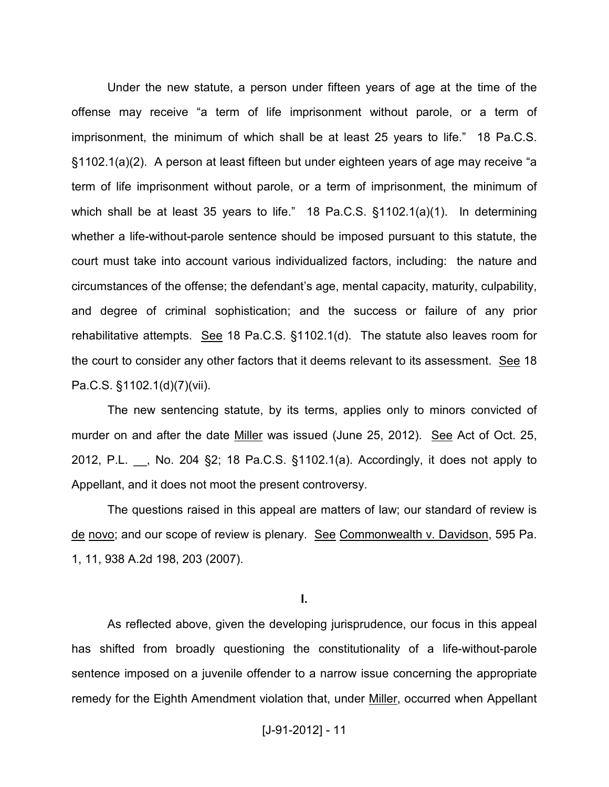Under the new statute, a person under fifteen years of age at the time of the offense may receive "a term of life imprisonment without parole, or a term of imprisonment, the minimum of which shall be at least 25 years to life." 18 Pa.C.S. §1102.1(a)(2). A person at least fifteen but under eighteen years of age may receive "a term of life imprisonment without parole, or a term of imprisonment, the minimum of which shall be at least 35 years to life." 18 Pa.C.S. §1102.1(a)(1). In determining whether a life-without-parole sentence should be imposed pursuant to this statute, the court must take into account various individualized factors, including: the nature and circumstances of the offense; the defendant's age, mental capacity, maturity, culpability, and degree of criminal sophistication; and the success or failure of any prior rehabilitative attempts. See 18 Pa.C.S. §1102.1(d). The statute also leaves room for the court to consider any other factors that it deems relevant to its assessment. See 18 Pa.C.S. §1102.1(d)(7)(vii).

The new sentencing statute, by its terms, applies only to minors convicted of murder on and after the date Miller was issued (June 25, 2012). See Act of Oct. 25, 2012, P.L. \_\_, No. 204 §2; 18 Pa.C.S. §1102.1(a). Accordingly, it does not apply to Appellant, and it does not moot the present controversy.

The questions raised in this appeal are matters of law; our standard of review is de novo; and our scope of review is plenary. See Commonwealth v. Davidson, 595 Pa. 1, 11, 938 A.2d 198, 203 (2007).

**I.** 

As reflected above, given the developing jurisprudence, our focus in this appeal has shifted from broadly questioning the constitutionality of a life-without-parole sentence imposed on a juvenile offender to a narrow issue concerning the appropriate remedy for the Eighth Amendment violation that, under Miller, occurred when Appellant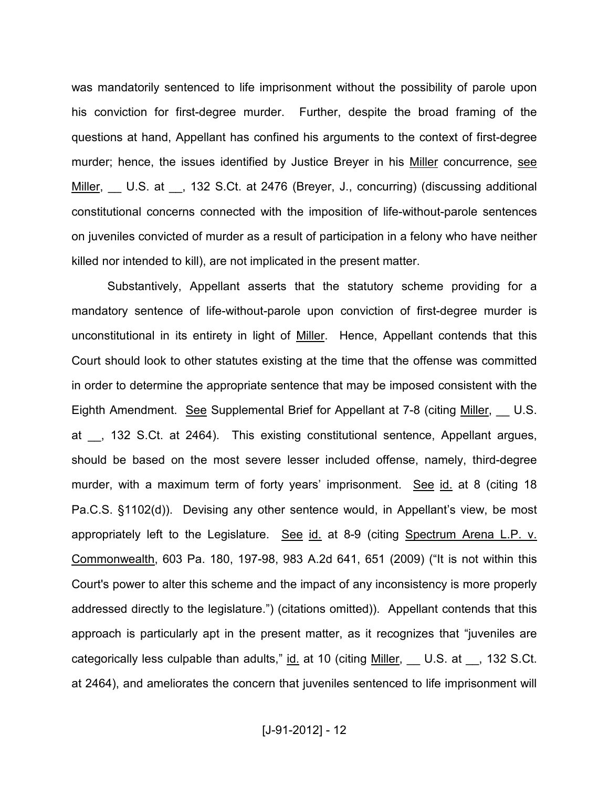was mandatorily sentenced to life imprisonment without the possibility of parole upon his conviction for first-degree murder. Further, despite the broad framing of the questions at hand, Appellant has confined his arguments to the context of first-degree murder; hence, the issues identified by Justice Breyer in his Miller concurrence, see Miller, U.S. at , 132 S.Ct. at 2476 (Breyer, J., concurring) (discussing additional constitutional concerns connected with the imposition of life-without-parole sentences on juveniles convicted of murder as a result of participation in a felony who have neither killed nor intended to kill), are not implicated in the present matter.

Substantively, Appellant asserts that the statutory scheme providing for a mandatory sentence of life-without-parole upon conviction of first-degree murder is unconstitutional in its entirety in light of Miller. Hence, Appellant contends that this Court should look to other statutes existing at the time that the offense was committed in order to determine the appropriate sentence that may be imposed consistent with the Eighth Amendment. See Supplemental Brief for Appellant at 7-8 (citing Miller, U.S. at , 132 S.Ct. at 2464). This existing constitutional sentence, Appellant argues, should be based on the most severe lesser included offense, namely, third-degree murder, with a maximum term of forty years' imprisonment. See id. at 8 (citing 18 Pa.C.S. §1102(d)). Devising any other sentence would, in Appellant's view, be most appropriately left to the Legislature. See id. at 8-9 (citing Spectrum Arena L.P. v. Commonwealth, 603 Pa. 180, 197-98, 983 A.2d 641, 651 (2009) ("It is not within this Court's power to alter this scheme and the impact of any inconsistency is more properly addressed directly to the legislature.") (citations omitted)). Appellant contends that this approach is particularly apt in the present matter, as it recognizes that "juveniles are categorically less culpable than adults," id. at 10 (citing Miller, U.S. at 1, 132 S.Ct. at 2464), and ameliorates the concern that juveniles sentenced to life imprisonment will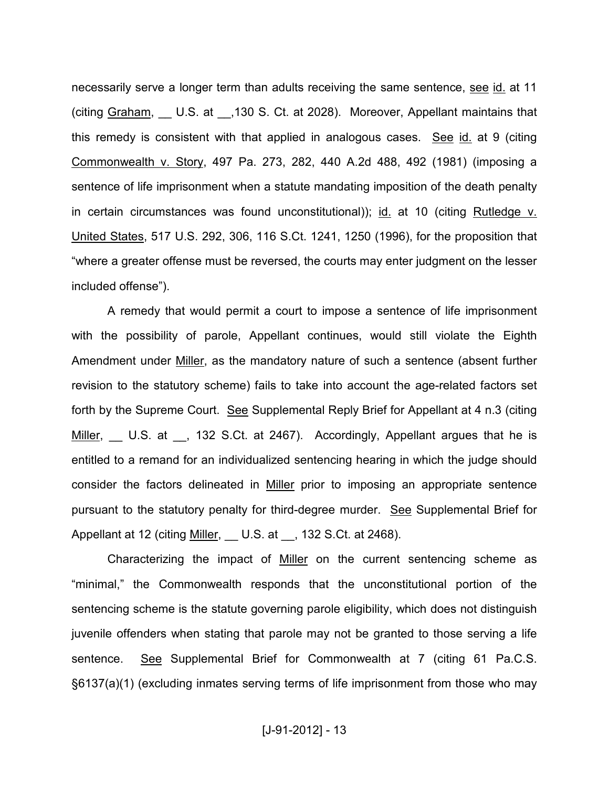necessarily serve a longer term than adults receiving the same sentence, see id. at 11 (citing Graham, U.S. at ,130 S. Ct. at 2028). Moreover, Appellant maintains that this remedy is consistent with that applied in analogous cases. See id. at 9 (citing Commonwealth v. Story, 497 Pa. 273, 282, 440 A.2d 488, 492 (1981) (imposing a sentence of life imprisonment when a statute mandating imposition of the death penalty in certain circumstances was found unconstitutional)); id. at 10 (citing Rutledge v. United States, 517 U.S. 292, 306, 116 S.Ct. 1241, 1250 (1996), for the proposition that "where a greater offense must be reversed, the courts may enter judgment on the lesser included offense").

A remedy that would permit a court to impose a sentence of life imprisonment with the possibility of parole, Appellant continues, would still violate the Eighth Amendment under Miller, as the mandatory nature of such a sentence (absent further revision to the statutory scheme) fails to take into account the age-related factors set forth by the Supreme Court. See Supplemental Reply Brief for Appellant at 4 n.3 (citing Miller, U.S. at 132 S.Ct. at 2467). Accordingly, Appellant argues that he is entitled to a remand for an individualized sentencing hearing in which the judge should consider the factors delineated in Miller prior to imposing an appropriate sentence pursuant to the statutory penalty for third-degree murder. See Supplemental Brief for Appellant at 12 (citing Miller, U.S. at St. 132 S.Ct. at 2468).

Characterizing the impact of Miller on the current sentencing scheme as "minimal," the Commonwealth responds that the unconstitutional portion of the sentencing scheme is the statute governing parole eligibility, which does not distinguish juvenile offenders when stating that parole may not be granted to those serving a life sentence. See Supplemental Brief for Commonwealth at 7 (citing 61 Pa.C.S. §6137(a)(1) (excluding inmates serving terms of life imprisonment from those who may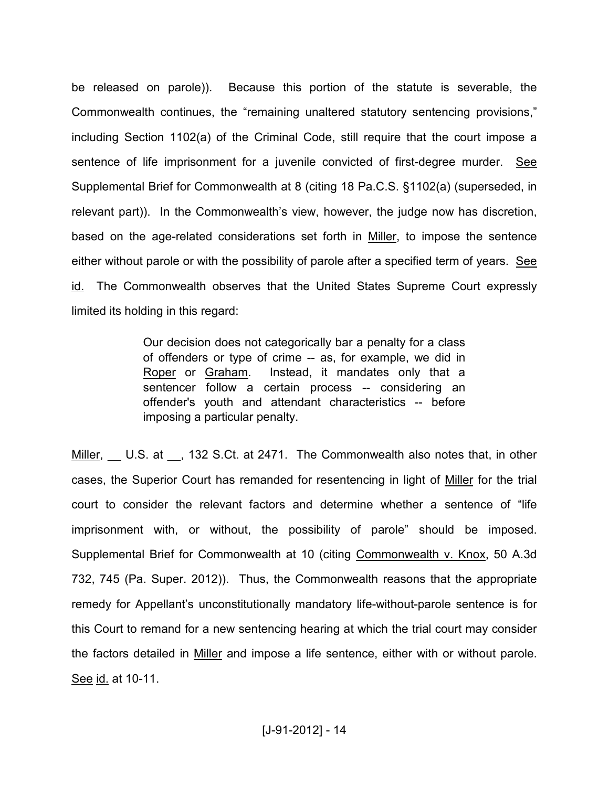be released on parole)). Because this portion of the statute is severable, the Commonwealth continues, the "remaining unaltered statutory sentencing provisions," including Section 1102(a) of the Criminal Code, still require that the court impose a sentence of life imprisonment for a juvenile convicted of first-degree murder. See Supplemental Brief for Commonwealth at 8 (citing 18 Pa.C.S. §1102(a) (superseded, in relevant part)). In the Commonwealth's view, however, the judge now has discretion, based on the age-related considerations set forth in Miller, to impose the sentence either without parole or with the possibility of parole after a specified term of years. See id. The Commonwealth observes that the United States Supreme Court expressly limited its holding in this regard:

> Our decision does not categorically bar a penalty for a class of offenders or type of crime -- as, for example, we did in Roper or Graham. Instead, it mandates only that a sentencer follow a certain process -- considering an offender's youth and attendant characteristics -- before imposing a particular penalty.

Miller, U.S. at , 132 S.Ct. at 2471. The Commonwealth also notes that, in other cases, the Superior Court has remanded for resentencing in light of Miller for the trial court to consider the relevant factors and determine whether a sentence of "life imprisonment with, or without, the possibility of parole" should be imposed. Supplemental Brief for Commonwealth at 10 (citing Commonwealth v. Knox, 50 A.3d 732, 745 (Pa. Super. 2012)). Thus, the Commonwealth reasons that the appropriate remedy for Appellant's unconstitutionally mandatory life-without-parole sentence is for this Court to remand for a new sentencing hearing at which the trial court may consider the factors detailed in Miller and impose a life sentence, either with or without parole. See id. at 10-11.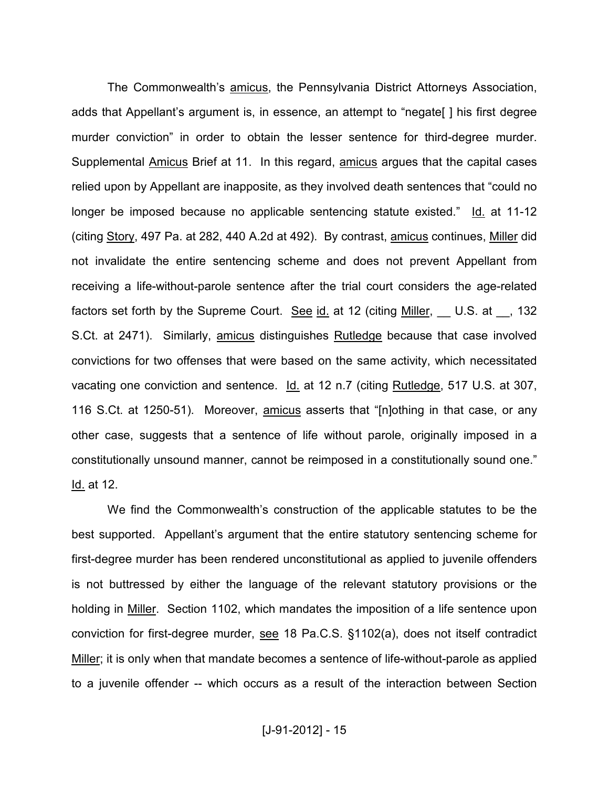The Commonwealth's amicus, the Pennsylvania District Attorneys Association, adds that Appellant's argument is, in essence, an attempt to "negate[ ] his first degree murder conviction" in order to obtain the lesser sentence for third-degree murder. Supplemental Amicus Brief at 11. In this regard, amicus argues that the capital cases relied upon by Appellant are inapposite, as they involved death sentences that "could no longer be imposed because no applicable sentencing statute existed." Id. at 11-12 (citing Story, 497 Pa. at 282, 440 A.2d at 492). By contrast, amicus continues, Miller did not invalidate the entire sentencing scheme and does not prevent Appellant from receiving a life-without-parole sentence after the trial court considers the age-related factors set forth by the Supreme Court. See id. at 12 (citing Miller, U.S. at 132 S.Ct. at 2471). Similarly, amicus distinguishes Rutledge because that case involved convictions for two offenses that were based on the same activity, which necessitated vacating one conviction and sentence. Id. at 12 n.7 (citing Rutledge, 517 U.S. at 307, 116 S.Ct. at 1250-51). Moreover, amicus asserts that "[n]othing in that case, or any other case, suggests that a sentence of life without parole, originally imposed in a constitutionally unsound manner, cannot be reimposed in a constitutionally sound one." Id. at 12.

We find the Commonwealth's construction of the applicable statutes to be the best supported. Appellant's argument that the entire statutory sentencing scheme for first-degree murder has been rendered unconstitutional as applied to juvenile offenders is not buttressed by either the language of the relevant statutory provisions or the holding in Miller. Section 1102, which mandates the imposition of a life sentence upon conviction for first-degree murder, see 18 Pa.C.S. §1102(a), does not itself contradict Miller; it is only when that mandate becomes a sentence of life-without-parole as applied to a juvenile offender -- which occurs as a result of the interaction between Section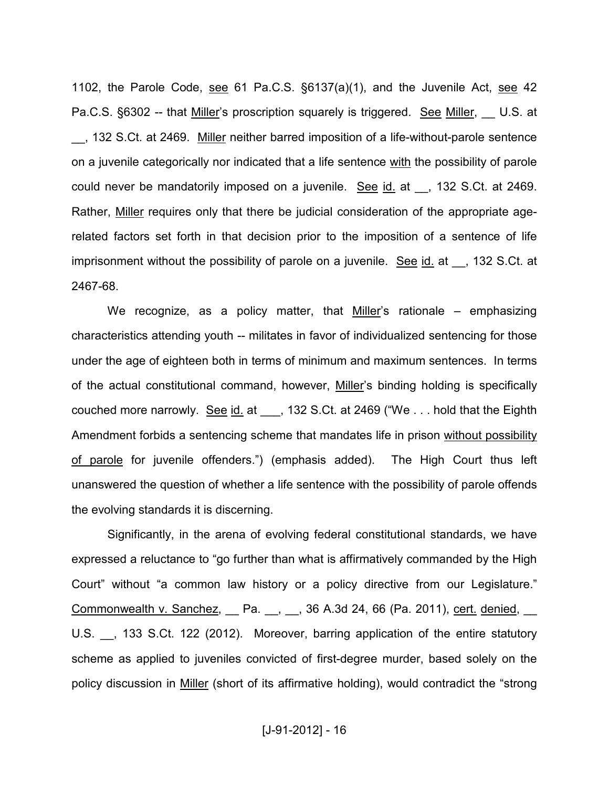1102, the Parole Code, see 61 Pa.C.S. §6137(a)(1), and the Juvenile Act, see 42 Pa.C.S. §6302 -- that Miller's proscription squarely is triggered. See Miller, U.S. at \_\_, 132 S.Ct. at 2469. Miller neither barred imposition of a life-without-parole sentence on a juvenile categorically nor indicated that a life sentence with the possibility of parole could never be mandatorily imposed on a juvenile. See id. at , 132 S.Ct. at 2469. Rather, Miller requires only that there be judicial consideration of the appropriate agerelated factors set forth in that decision prior to the imposition of a sentence of life imprisonment without the possibility of parole on a juvenile. See  $id$  at  $\rightarrow$  132 S.Ct. at 2467-68.

We recognize, as a policy matter, that Miller's rationale – emphasizing characteristics attending youth -- militates in favor of individualized sentencing for those under the age of eighteen both in terms of minimum and maximum sentences. In terms of the actual constitutional command, however, Miller's binding holding is specifically couched more narrowly. See id. at \_\_\_, 132 S.Ct. at 2469 ("We . . . hold that the Eighth Amendment forbids a sentencing scheme that mandates life in prison without possibility of parole for juvenile offenders.") (emphasis added). The High Court thus left unanswered the question of whether a life sentence with the possibility of parole offends the evolving standards it is discerning.

Significantly, in the arena of evolving federal constitutional standards, we have expressed a reluctance to "go further than what is affirmatively commanded by the High Court" without "a common law history or a policy directive from our Legislature." Commonwealth v. Sanchez, \_\_ Pa. \_\_, \_\_, 36 A.3d 24, 66 (Pa. 2011), cert. denied, \_\_ U.S. , 133 S.Ct. 122 (2012). Moreover, barring application of the entire statutory scheme as applied to juveniles convicted of first-degree murder, based solely on the policy discussion in Miller (short of its affirmative holding), would contradict the "strong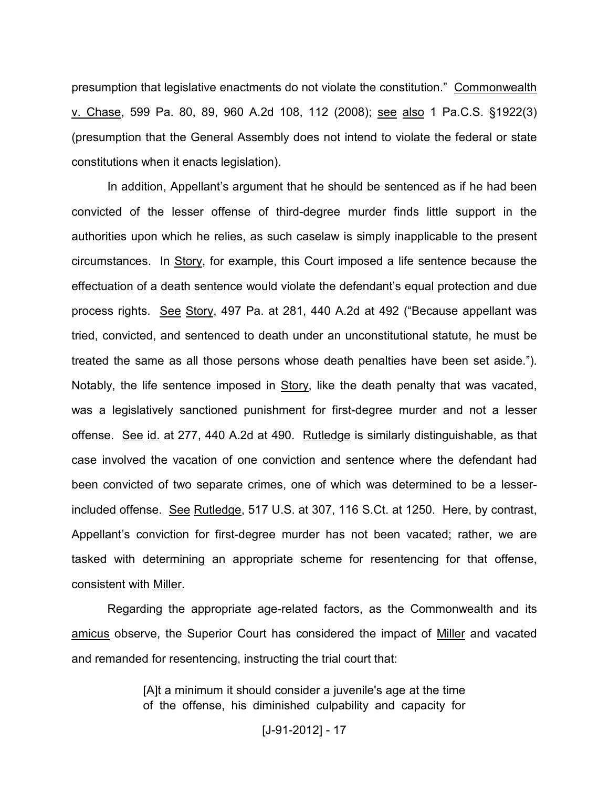presumption that legislative enactments do not violate the constitution." Commonwealth v. Chase, 599 Pa. 80, 89, 960 A.2d 108, 112 (2008); see also 1 Pa.C.S. §1922(3) (presumption that the General Assembly does not intend to violate the federal or state constitutions when it enacts legislation).

In addition, Appellant's argument that he should be sentenced as if he had been convicted of the lesser offense of third-degree murder finds little support in the authorities upon which he relies, as such caselaw is simply inapplicable to the present circumstances. In Story, for example, this Court imposed a life sentence because the effectuation of a death sentence would violate the defendant's equal protection and due process rights. See Story, 497 Pa. at 281, 440 A.2d at 492 ("Because appellant was tried, convicted, and sentenced to death under an unconstitutional statute, he must be treated the same as all those persons whose death penalties have been set aside."). Notably, the life sentence imposed in Story, like the death penalty that was vacated, was a legislatively sanctioned punishment for first-degree murder and not a lesser offense. See id. at 277, 440 A.2d at 490. Rutledge is similarly distinguishable, as that case involved the vacation of one conviction and sentence where the defendant had been convicted of two separate crimes, one of which was determined to be a lesserincluded offense. See Rutledge, 517 U.S. at 307, 116 S.Ct. at 1250. Here, by contrast, Appellant's conviction for first-degree murder has not been vacated; rather, we are tasked with determining an appropriate scheme for resentencing for that offense, consistent with Miller.

Regarding the appropriate age-related factors, as the Commonwealth and its amicus observe, the Superior Court has considered the impact of Miller and vacated and remanded for resentencing, instructing the trial court that:

> [A]t a minimum it should consider a juvenile's age at the time of the offense, his diminished culpability and capacity for

> > [J-91-2012] - 17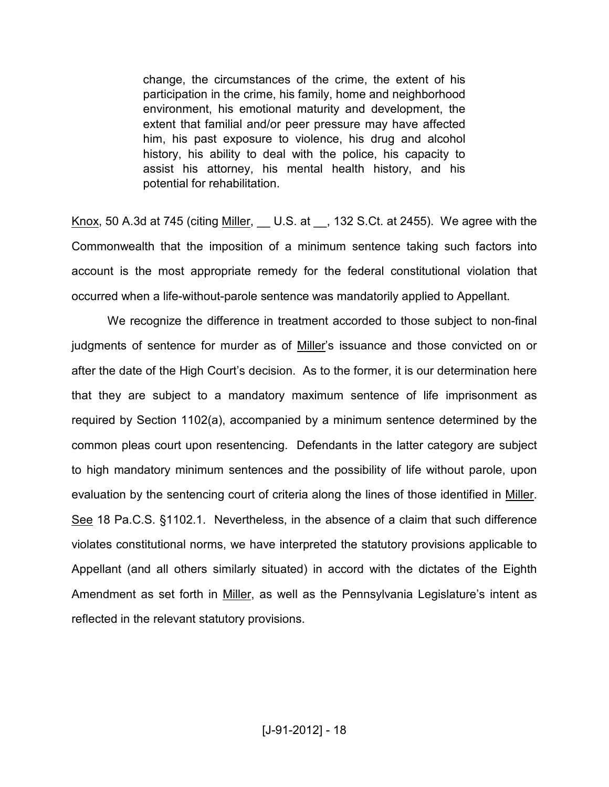change, the circumstances of the crime, the extent of his participation in the crime, his family, home and neighborhood environment, his emotional maturity and development, the extent that familial and/or peer pressure may have affected him, his past exposure to violence, his drug and alcohol history, his ability to deal with the police, his capacity to assist his attorney, his mental health history, and his potential for rehabilitation.

Knox, 50 A.3d at 745 (citing  $Miller$ , U.S. at  $\ldots$ , 132 S.Ct. at 2455). We agree with the Commonwealth that the imposition of a minimum sentence taking such factors into account is the most appropriate remedy for the federal constitutional violation that occurred when a life-without-parole sentence was mandatorily applied to Appellant.

We recognize the difference in treatment accorded to those subject to non-final judgments of sentence for murder as of Miller's issuance and those convicted on or after the date of the High Court's decision. As to the former, it is our determination here that they are subject to a mandatory maximum sentence of life imprisonment as required by Section 1102(a), accompanied by a minimum sentence determined by the common pleas court upon resentencing. Defendants in the latter category are subject to high mandatory minimum sentences and the possibility of life without parole, upon evaluation by the sentencing court of criteria along the lines of those identified in Miller. See 18 Pa.C.S. §1102.1. Nevertheless, in the absence of a claim that such difference violates constitutional norms, we have interpreted the statutory provisions applicable to Appellant (and all others similarly situated) in accord with the dictates of the Eighth Amendment as set forth in Miller, as well as the Pennsylvania Legislature's intent as reflected in the relevant statutory provisions.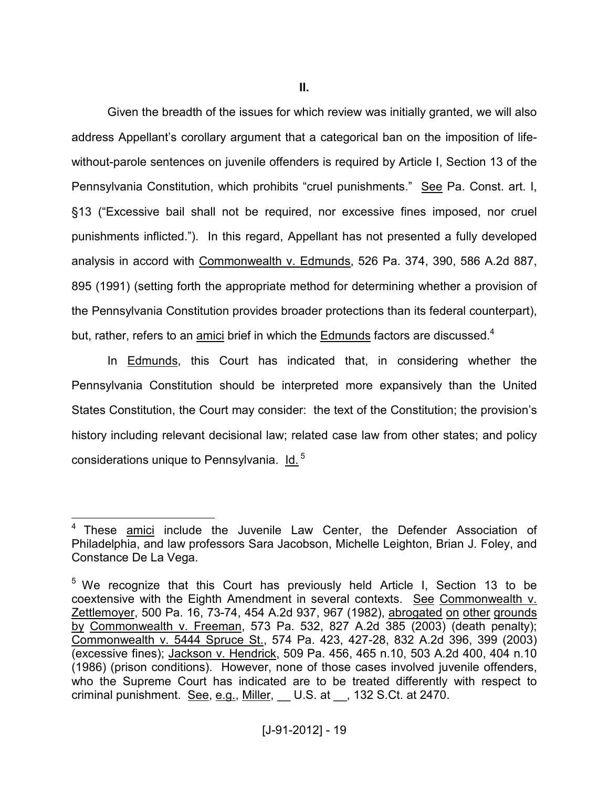Given the breadth of the issues for which review was initially granted, we will also address Appellant's corollary argument that a categorical ban on the imposition of lifewithout-parole sentences on juvenile offenders is required by Article I, Section 13 of the Pennsylvania Constitution, which prohibits "cruel punishments." See Pa. Const. art. I, §13 ("Excessive bail shall not be required, nor excessive fines imposed, nor cruel punishments inflicted."). In this regard, Appellant has not presented a fully developed analysis in accord with Commonwealth v. Edmunds, 526 Pa. 374, 390, 586 A.2d 887, 895 (1991) (setting forth the appropriate method for determining whether a provision of the Pennsylvania Constitution provides broader protections than its federal counterpart), but, rather, refers to an amici brief in which the Edmunds factors are discussed.<sup>4</sup>

In Edmunds, this Court has indicated that, in considering whether the Pennsylvania Constitution should be interpreted more expansively than the United States Constitution, the Court may consider: the text of the Constitution; the provision's history including relevant decisional law; related case law from other states; and policy considerations unique to Pennsylvania. Id.<sup>5</sup>

 4 These amici include the Juvenile Law Center, the Defender Association of Philadelphia, and law professors Sara Jacobson, Michelle Leighton, Brian J. Foley, and Constance De La Vega.

<sup>&</sup>lt;sup>5</sup> We recognize that this Court has previously held Article I, Section 13 to be coextensive with the Eighth Amendment in several contexts. See Commonwealth v. Zettlemoyer, 500 Pa. 16, 73-74, 454 A.2d 937, 967 (1982), abrogated on other grounds by Commonwealth v. Freeman, 573 Pa. 532, 827 A.2d 385 (2003) (death penalty); Commonwealth v. 5444 Spruce St., 574 Pa. 423, 427-28, 832 A.2d 396, 399 (2003) (excessive fines); Jackson v. Hendrick, 509 Pa. 456, 465 n.10, 503 A.2d 400, 404 n.10 (1986) (prison conditions). However, none of those cases involved juvenile offenders, who the Supreme Court has indicated are to be treated differently with respect to criminal punishment. See, e.g., Miller, U.S. at , 132 S.Ct. at 2470.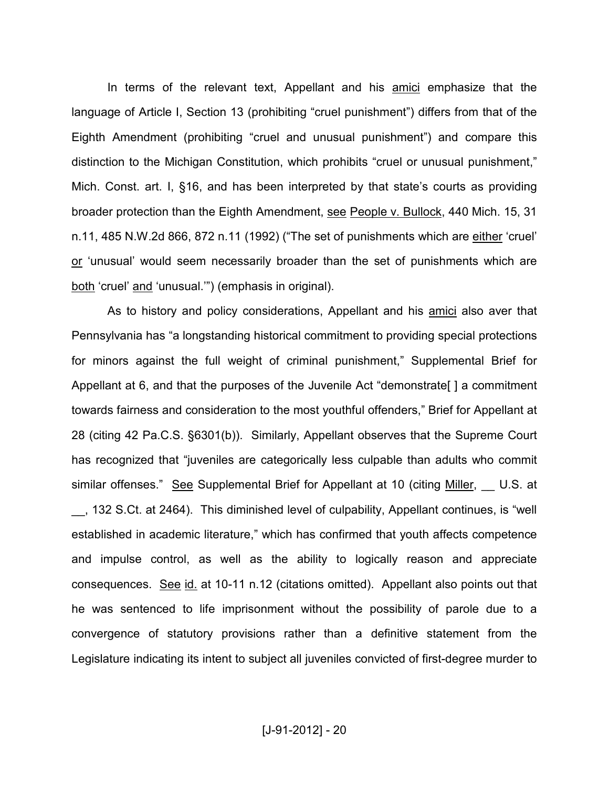In terms of the relevant text, Appellant and his amici emphasize that the language of Article I, Section 13 (prohibiting "cruel punishment") differs from that of the Eighth Amendment (prohibiting "cruel and unusual punishment") and compare this distinction to the Michigan Constitution, which prohibits "cruel or unusual punishment," Mich. Const. art. I, §16, and has been interpreted by that state's courts as providing broader protection than the Eighth Amendment, see People v. Bullock, 440 Mich. 15, 31 n.11, 485 N.W.2d 866, 872 n.11 (1992) ("The set of punishments which are either 'cruel' or 'unusual' would seem necessarily broader than the set of punishments which are both 'cruel' and 'unusual.'") (emphasis in original).

As to history and policy considerations, Appellant and his amici also aver that Pennsylvania has "a longstanding historical commitment to providing special protections for minors against the full weight of criminal punishment," Supplemental Brief for Appellant at 6, and that the purposes of the Juvenile Act "demonstrate[ ] a commitment towards fairness and consideration to the most youthful offenders," Brief for Appellant at 28 (citing 42 Pa.C.S. §6301(b)). Similarly, Appellant observes that the Supreme Court has recognized that "juveniles are categorically less culpable than adults who commit similar offenses." See Supplemental Brief for Appellant at 10 (citing Miller, U.S. at \_\_, 132 S.Ct. at 2464). This diminished level of culpability, Appellant continues, is "well established in academic literature," which has confirmed that youth affects competence and impulse control, as well as the ability to logically reason and appreciate consequences. See id. at 10-11 n.12 (citations omitted). Appellant also points out that he was sentenced to life imprisonment without the possibility of parole due to a convergence of statutory provisions rather than a definitive statement from the Legislature indicating its intent to subject all juveniles convicted of first-degree murder to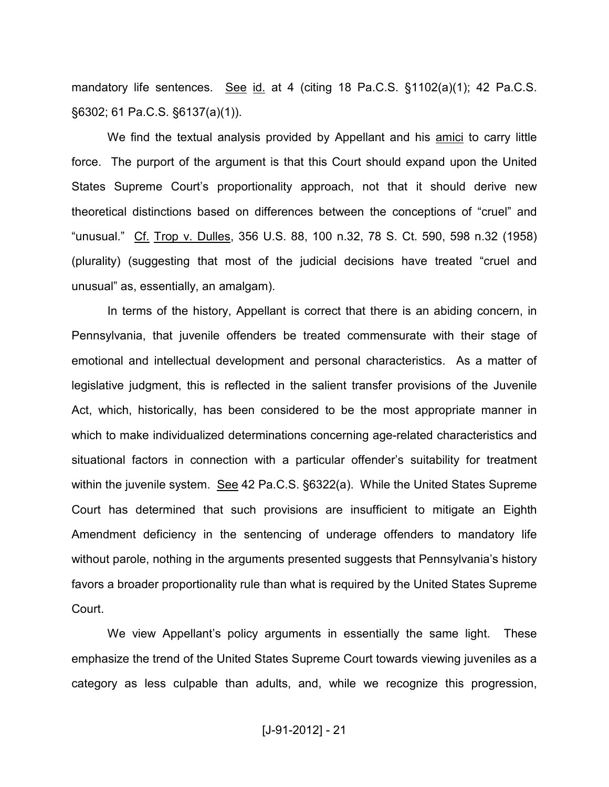mandatory life sentences. See id. at 4 (citing 18 Pa.C.S. §1102(a)(1); 42 Pa.C.S. §6302; 61 Pa.C.S. §6137(a)(1)).

We find the textual analysis provided by Appellant and his amici to carry little force. The purport of the argument is that this Court should expand upon the United States Supreme Court's proportionality approach, not that it should derive new theoretical distinctions based on differences between the conceptions of "cruel" and "unusual." Cf. Trop v. Dulles, 356 U.S. 88, 100 n.32, 78 S. Ct. 590, 598 n.32 (1958) (plurality) (suggesting that most of the judicial decisions have treated "cruel and unusual" as, essentially, an amalgam).

In terms of the history, Appellant is correct that there is an abiding concern, in Pennsylvania, that juvenile offenders be treated commensurate with their stage of emotional and intellectual development and personal characteristics. As a matter of legislative judgment, this is reflected in the salient transfer provisions of the Juvenile Act, which, historically, has been considered to be the most appropriate manner in which to make individualized determinations concerning age-related characteristics and situational factors in connection with a particular offender's suitability for treatment within the juvenile system. See 42 Pa.C.S. §6322(a). While the United States Supreme Court has determined that such provisions are insufficient to mitigate an Eighth Amendment deficiency in the sentencing of underage offenders to mandatory life without parole, nothing in the arguments presented suggests that Pennsylvania's history favors a broader proportionality rule than what is required by the United States Supreme Court.

We view Appellant's policy arguments in essentially the same light. These emphasize the trend of the United States Supreme Court towards viewing juveniles as a category as less culpable than adults, and, while we recognize this progression,